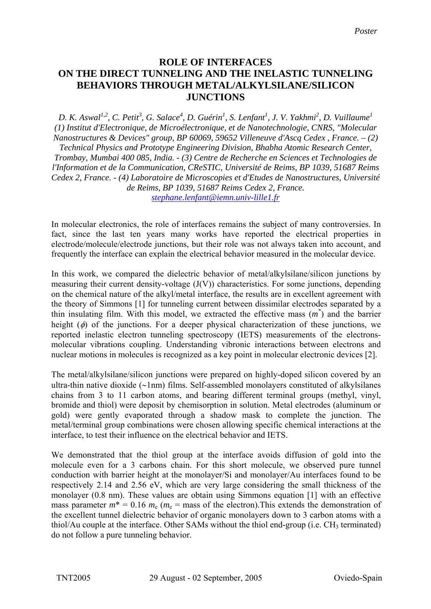## **ROLE OF INTERFACES ON THE DIRECT TUNNELING AND THE INELASTIC TUNNELING BEHAVIORS THROUGH METAL/ALKYLSILANE/SILICON JUNCTIONS**

*D. K. Aswal1,2, C. Petit3 , G. Salace<sup>4</sup> , D. Guérin1 , S. Lenfant<sup>1</sup> , J. V. Yakhmi<sup>2</sup> , D. Vuillaume<sup>1</sup> (1) Institut d'Electronique, de Microélectronique, et de Nanotechnologie, CNRS, "Molecular Nanostructures & Devices" group, BP 60069, 59652 Villeneuve d'Ascq Cedex , France. – (2) Technical Physics and Prototype Engineering Division, Bhabha Atomic Research Center, Trombay, Mumbai 400 085, India. - (3) Centre de Recherche en Sciences et Technologies de l'Information et de la Communication, CReSTIC, Université de Reims, BP 1039, 51687 Reims Cedex 2, France. - (4) Laboratoire de Microscopies et d'Etudes de Nanostructures, Université de Reims, BP 1039, 51687 Reims Cedex 2, France. stephane.lenfant@iemn.univ-lille1.fr*

In molecular electronics, the role of interfaces remains the subject of many controversies. In fact, since the last ten years many works have reported the electrical properties in electrode/molecule/electrode junctions, but their role was not always taken into account, and frequently the interface can explain the electrical behavior measured in the molecular device.

In this work, we compared the dielectric behavior of metal/alkylsilane/silicon junctions by measuring their current density-voltage (J(V)) characteristics. For some junctions, depending on the chemical nature of the alkyl/metal interface, the results are in excellent agreement with the theory of Simmons [1] for tunneling current between dissimilar electrodes separated by a thin insulating film. With this model, we extracted the effective mass (*m\** ) and the barrier height  $(\phi)$  of the junctions. For a deeper physical characterization of these junctions, we reported inelastic electron tunneling spectroscopy (IETS) measurements of the electronsmolecular vibrations coupling. Understanding vibronic interactions between electrons and nuclear motions in molecules is recognized as a key point in molecular electronic devices [2].

The metal/alkylsilane/silicon junctions were prepared on highly-doped silicon covered by an ultra-thin native dioxide (∼1nm) films. Self-assembled monolayers constituted of alkylsilanes chains from 3 to 11 carbon atoms, and bearing different terminal groups (methyl, vinyl, bromide and thiol) were deposit by chemisorption in solution. Metal electrodes (aluminum or gold) were gently evaporated through a shadow mask to complete the junction. The metal/terminal group combinations were chosen allowing specific chemical interactions at the interface, to test their influence on the electrical behavior and IETS.

We demonstrated that the thiol group at the interface avoids diffusion of gold into the molecule even for a 3 carbons chain. For this short molecule, we observed pure tunnel conduction with barrier height at the monolayer/Si and monolayer/Au interfaces found to be respectively 2.14 and 2.56 eV, which are very large considering the small thickness of the monolayer (0.8 nm). These values are obtain using Simmons equation [1] with an effective mass parameter  $m^* = 0.16$   $m_e$  ( $m_e$  = mass of the electron). This extends the demonstration of the excellent tunnel dielectric behavior of organic monolayers down to 3 carbon atoms with a thiol/Au couple at the interface. Other SAMs without the thiol end-group (i.e. CH<sub>3</sub> terminated) do not follow a pure tunneling behavior.